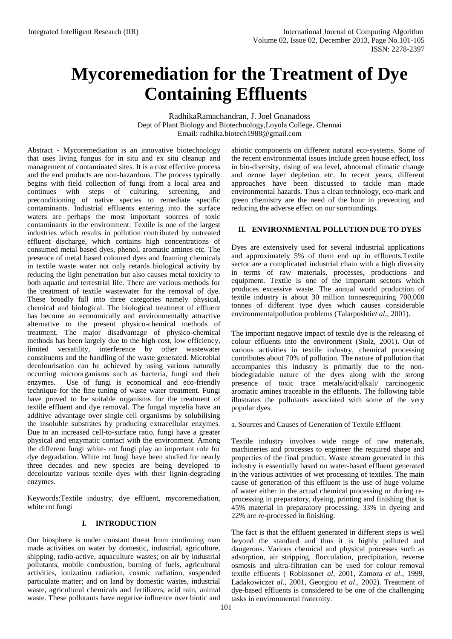# **Mycoremediation for the Treatment of Dye Containing Effluents**

RadhikaRamachandran, J. Joel Gnanadoss Dept of Plant Biology and Biotechnology,Loyola College, Chennai Email: [radhika.biotech1988@gmail.com](mailto:radhika.biotech1988@gmail.com)

Abstract - Mycoremediation is an innovative biotechnology that uses living fungus for in situ and ex situ cleanup and management of contaminated sites. It is a cost effective process and the end products are non-hazardous. The process typically begins with field collection of fungi from a local area and continues with steps of culturing, screening, and preconditioning of native species to remediate specific contaminants. Industrial effluents entering into the surface waters are perhaps the most important sources of toxic contaminants in the environment. Textile is one of the largest industries which results in pollution contributed by untreated effluent discharge, which contains high concentrations of consumed metal based dyes, phenol, aromatic amines etc. The presence of metal based coloured dyes and foaming chemicals in textile waste water not only retards biological activity by reducing the light penetration but also causes metal toxicity to both aquatic and terrestrial life. There are various methods for the treatment of textile wastewater for the removal of dye. These broadly fall into three categories namely physical, chemical and biological. The biological treatment of effluent has become an economically and environmentally attractive alternative to the present physico-chemical methods of treatment. The major disadvantage of physico-chemical methods has been largely due to the high cost, low efficiency, limited versatility, interference by other wastewater constituents and the handling of the waste generated. Microbial decolourisation can be achieved by using various naturally occurring microorganisms such as bacteria, fungi and their enzymes. Use of fungi is economical and eco-friendly technique for the fine tuning of waste water treatment. Fungi have proved to be suitable organisms for the treatment of textile effluent and dye removal. The fungal mycelia have an additive advantage over single cell organisms by solubilising the insoluble substrates by producing extracellular enzymes. Due to an increased cell-to-surface ratio, fungi have a greater physical and enzymatic contact with the environment. Among the different fungi white- rot fungi play an important role for dye degradation. White rot fungi have been studied for nearly three decades and new species are being developed to decolourize various textile dyes with their lignin-degrading enzymes.

Keywords:Textile industry, dye effluent, mycoremediation, white rot fungi

# **I. INTRODUCTION**

Our biosphere is under constant threat from continuing man made activities on water by domestic, industrial, agriculture, shipping, radio-active, aquaculture wastes; on air by industrial pollutants, mobile combustion, burning of fuels, agricultural activities, ionization radiation, cosmic radiation, suspended particulate matter; and on land by domestic wastes, industrial waste, agricultural chemicals and fertilizers, acid rain, animal waste. These pollutants have negative influence over biotic and abiotic components on different natural eco-systems. Some of the recent environmental issues include green house effect, loss in bio-diversity, rising of sea level, abnormal climatic change and ozone layer depletion etc. In recent years, different approaches have been discussed to tackle man made environmental hazards. Thus a clean technology, eco-mark and green chemistry are the need of the hour in preventing and reducing the adverse effect on our surroundings.

# **II. ENVIRONMENTAL POLLUTION DUE TO DYES**

Dyes are extensively used for several industrial applications and approximately 5% of them end up in effluents.Textile sector are a complicated industrial chain with a high diversity in terms of raw materials, processes, productions and equipment. Textile is one of the important sectors which produces excessive waste. The annual world production of textile industry is about 30 million tonnesrequiring 700,000 tonnes of different type dyes which causes considerable environmentalpollution problems (Talarposhti*et al.,* 2001).

The important negative impact of textile dye is the releasing of colour effluents into the environment (Stolz, 2001). Out of various activities in textile industry, chemical processing contributes about 70% of pollution. The nature of pollution that accompanies this industry is primarily due to the nonbiodegradable nature of the dyes along with the strong presence of toxic trace metals/acid/alkali/ carcinogenic aromatic amines traceable in the effluents. The following table illustrates the pollutants associated with some of the very popular dyes.

a. Sources and Causes of Generation of Textile Effluent

Textile industry involves wide range of raw materials, machineries and processes to engineer the required shape and properties of the final product. Waste stream generated in this industry is essentially based on water-based effluent generated in the various activities of wet processing of textiles. The main cause of generation of this effluent is the use of huge volume of water either in the actual chemical processing or during reprocessing in preparatory, dyeing, printing and finishing that is 45% material in preparatory processing, 33% in dyeing and 22% are re-processed in finishing.

The fact is that the effluent generated in different steps is well beyond the standard and thus it is highly polluted and dangerous. Various chemical and physical processes such as adsorption, air stripping, flocculation, precipitation, reverse osmosis and ultra-filtration can be used for colour removal textile effluents ( Robinson*et al*, 2001, Zamora *et al*., 1999, Ladakowicz*et al*., 2001, Georgiou *et al*., 2002). Treatment of dye-based effluents is considered to be one of the challenging tasks in environmental fraternity.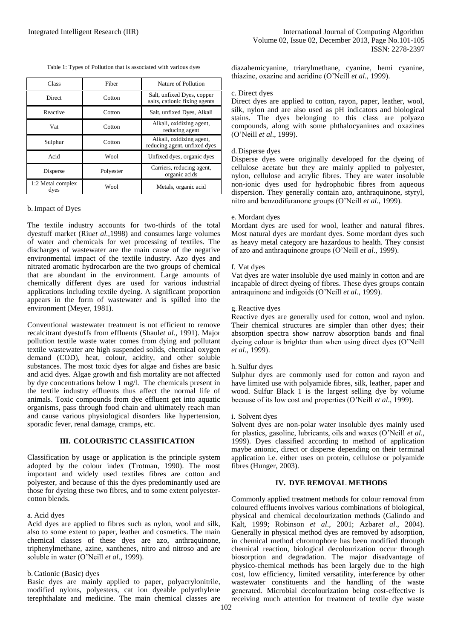| Table 1: Types of Pollution that is associated with various dyes |
|------------------------------------------------------------------|
|                                                                  |

| <b>Class</b>              | Fiber     | Nature of Pollution                                         |
|---------------------------|-----------|-------------------------------------------------------------|
| <b>Direct</b>             | Cotton    | Salt, unfixed Dyes, copper<br>salts, cationic fixing agents |
| Reactive                  | Cotton    | Salt, unfixed Dyes, Alkali                                  |
| Vat                       | Cotton    | Alkali, oxidizing agent,<br>reducing agent                  |
| Sulphur                   | Cotton    | Alkali, oxidizing agent,<br>reducing agent, unfixed dyes    |
| Acid                      | Wool      | Unfixed dyes, organic dyes                                  |
| Disperse                  | Polyester | Carriers, reducing agent,<br>organic acids                  |
| 1:2 Metal complex<br>dyes | Wool      | Metals, organic acid                                        |

# b.Impact of Dyes

The textile industry accounts for two-thirds of the total dyestuff market (Riu*et al.,*1998) and consumes large volumes of water and chemicals for wet processing of textiles. The discharges of wastewater are the main cause of the negative environmental impact of the textile industry. Azo dyes and nitrated aromatic hydrocarbon are the two groups of chemical that are abundant in the environment. Large amounts of chemically different dyes are used for various industrial applications including textile dyeing. A significant proportion appears in the form of wastewater and is spilled into the environment (Meyer, 1981).

Conventional wastewater treatment is not efficient to remove recalcitrant dyestuffs from effluents (Shaul*et al*., 1991). Major pollution textile waste water comes from dying and pollutant textile wastewater are high suspended solids, chemical oxygen demand (COD), heat, colour, acidity, and other soluble substances. The most toxic dyes for algae and fishes are basic and acid dyes. Algae growth and fish mortality are not affected by dye concentrations below 1 mg/l. The chemicals present in the textile industry effluents thus affect the normal life of animals. Toxic compounds from dye effluent get into aquatic organisms, pass through food chain and ultimately reach man and cause various physiological disorders like hypertension, sporadic fever, renal damage, cramps, etc.

## **III. COLOURISTIC CLASSIFICATION**

Classification by usage or application is the principle system adopted by the colour index (Trotman, 1990). The most important and widely used textiles fibres are cotton and polyester, and because of this the dyes predominantly used are those for dyeing these two fibres, and to some extent polyestercotton blends.

#### a. Acid dyes

Acid dyes are applied to fibres such as nylon, wool and silk, also to some extent to paper, leather and cosmetics. The main chemical classes of these dyes are azo, anthraquinone, triphenylmethane, azine, xanthenes, nitro and nitroso and are soluble in water (O'Neill *et al*., 1999).

# b.Cationic (Basic) dyes

Basic dyes are mainly applied to paper, polyacrylonitrile, modified nylons, polyesters, cat ion dyeable polyethylene terephthalate and medicine. The main chemical classes are diazahemicyanine, triarylmethane, cyanine, hemi cyanine, thiazine, oxazine and acridine (O'Neill *et al*., 1999).

# c. Direct dyes

Direct dyes are applied to cotton, rayon, paper, leather, wool, silk, nylon and are also used as pH indicators and biological stains. The dyes belonging to this class are polyazo compounds, along with some phthalocyanines and oxazines (O'Neill *et al*., 1999).

## d. Disperse dyes

Disperse dyes were originally developed for the dyeing of cellulose acetate but they are mainly applied to polyester, nylon, cellulose and acrylic fibres. They are water insoluble non-ionic dyes used for hydrophobic fibres from aqueous dispersion. They generally contain azo, anthraquinone, styryl, nitro and benzodifuranone groups (O'Neill *et al*., 1999).

#### e. Mordant dyes

Mordant dyes are used for wool, leather and natural fibres. Most natural dyes are mordant dyes. Some mordant dyes such as heavy metal category are hazardous to health. They consist of azo and anthraquinone groups (O'Neill *et al*., 1999).

#### f. Vat dyes

Vat dyes are water insoluble dye used mainly in cotton and are incapable of direct dyeing of fibres. These dyes groups contain antraquinone and indigoids (O'Neill *et al*., 1999).

#### g.Reactive dyes

Reactive dyes are generally used for cotton, wool and nylon. Their chemical structures are simpler than other dyes; their absorption spectra show narrow absorption bands and final dyeing colour is brighter than when using direct dyes (O'Neill *et al*., 1999).

#### h. Sulfur dyes

Sulphur dyes are commonly used for cotton and rayon and have limited use with polyamide fibres, silk, leather, paper and wood. Sulfur Black 1 is the largest selling dye by volume because of its low cost and properties (O'Neill *et al*., 1999).

#### i. Solvent dyes

Solvent dyes are non-polar water insoluble dyes mainly used for plastics, gasoline, lubricants, oils and waxes (O'Neill *et al*., 1999). Dyes classified according to method of application maybe anionic, direct or disperse depending on their terminal application i.e. either uses on protein, cellulose or polyamide fibres (Hunger, 2003).

# **IV. DYE REMOVAL METHODS**

Commonly applied treatment methods for colour removal from coloured effluents involves various combinations of biological, physical and chemical decolourization methods (Galindo and Kalt, 1999; Robinson *et al*., 2001; Azbar*et al*., 2004). Generally in physical method dyes are removed by adsorption, in chemical method chromophore has been modified through chemical reaction, biological decolourization occur through biosorption and degradation. The major disadvantage of physico-chemical methods has been largely due to the high cost, low efficiency, limited versatility, interference by other wastewater constituents and the handling of the waste generated. Microbial decolourization being cost-effective is receiving much attention for treatment of textile dye waste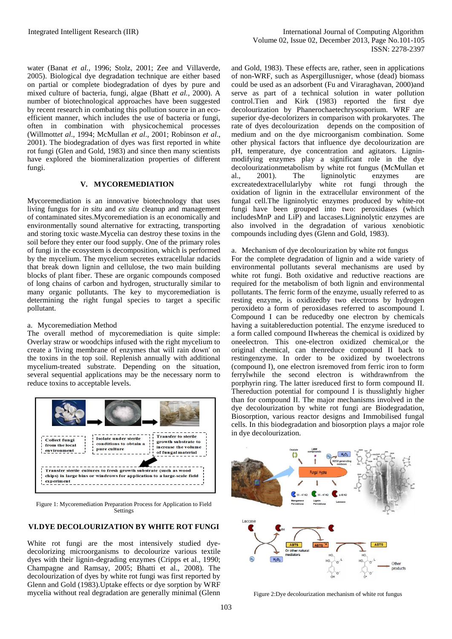water (Banat *et al.,* 1996; Stolz, 2001; Zee and Villaverde, 2005). Biological dye degradation technique are either based on partial or complete biodegradation of dyes by pure and mixed culture of bacteria, fungi, algae (Bhatt *et al.,* 2000). A number of biotechnological approaches have been suggested by recent research in combating this pollution source in an ecoefficient manner, which includes the use of bacteria or fungi, often in combination with physicochemical processes (Willmott*et al*., 1994; McMullan *et al*., 2001; Robinson *et al*., 2001). The biodegradation of dyes was first reported in white rot fungi (Glen and Gold, 1983) and since then many scientists have explored the biomineralization properties of different fungi.

# **V. MYCOREMEDIATION**

Mycoremediation is an innovative biotechnology that uses living fungus for *in situ* and *ex situ* cleanup and management of contaminated sites.Mycoremediation is an economically and environmentally sound alternative for extracting, transporting and storing toxic waste.Mycelia can destroy these toxins in the soil before they enter our food supply. One of the primary roles of [fungi](http://en.wikipedia.org/wiki/Fungi) in the [ecosystem](http://en.wikipedia.org/wiki/Ecosystem) is [decomposition,](http://en.wikipedia.org/wiki/Decomposition) which is performed by the mycelium. The mycelium secretes extracellular n[dacids](http://en.wikipedia.org/wiki/Acid) that break down [lignin](http://en.wikipedia.org/wiki/Lignin) and [cellulose,](http://en.wikipedia.org/wiki/Cellulose) the two main building blocks of plant fiber. These are organic compounds composed of long chains of [carbon](http://en.wikipedia.org/wiki/Carbon) and [hydrogen,](http://en.wikipedia.org/wiki/Hydrogen) structurally similar to many organic pollutants. The key to mycoremediation is determining the right fungal species to target a specific pollutant.

# a. Mycoremediation Method

The overall method of mycoremediation is quite simple: Overlay straw or woodchips infused with the right mycelium to create a 'living membrane of enzymes that will rain down' on the toxins in the top soil. Replenish annually with additional mycelium-treated substrate. Depending on the situation, several sequential applications may be the necessary norm to reduce toxins to acceptable levels.



Figure 1: Mycoremediation Preparation Process for Application to Field **Settings** 

# **VI.DYE DECOLOURIZATION BY WHITE ROT FUNGI**

White rot fungi are the most intensively studied dyedecolorizing microorganisms to decolourize various textile dyes with their lignin-degrading enzymes (Cripps et al., 1990; Champagne and Ramsay, 2005; Bhatti et al., 2008). The decolourization of dyes by white rot fungi was first reported by Glenn and Gold (1983).Uptake effects or dye sorption by WRF mycelia without real degradation are generally minimal (Glenn and Gold, 1983). These effects are, rather, seen in applications of non-WRF, such as Aspergillusniger, whose (dead) biomass could be used as an adsorbent (Fu and Viraraghavan, 2000)and serve as part of a technical solution in water pollution control.Tien and Kirk (1983) reported the first dye decolourization by Phanerochaetechrysosporium. WRF are superior dye-decolorizers in comparison with prokaryotes. The rate of dyes decolourization depends on the composition of medium and on the dye microorganism combination. Some other physical factors that influence dye decolourization are pH, temperature, dye concentration and agitators. Ligninmodifying enzymes play a significant role in the dye decolourizationmetabolism by white rot fungus (McMullan et al., 2001). The ligninolytic enzymes are excreatedextracellularlyby white rot fungi through the oxidation of lignin in the extracellular environment of the fungal cell.The ligninolytic enzymes produced by white-rot fungi have been grouped into two: peroxidases (which includesMnP and LiP) and laccases.Ligninolytic enzymes are also involved in the degradation of various xenobiotic compounds including dyes (Glenn and Gold, 1983).

# a. Mechanism of dye decolourization by white rot fungus

For the complete degradation of lignin and a wide variety of environmental pollutants several mechanisms are used by white rot fungi. Both oxidative and reductive reactions are required for the metabolism of both lignin and environmental pollutants. The ferric form of the enzyme, usually referred to as resting enzyme, is oxidizedby two electrons by hydrogen peroxideto a form of peroxidases referred to ascompound I. Compound I can be reducedby one electron by chemicals having a suitablereduction potential. The enzyme isreduced to a form called compound IIwhereas the chemical is oxidized by oneelectron. This one-electron oxidized chemical,or the original chemical, can thenreduce compound II back to restingenzyme. In order to be oxidized by twoelectrons (compound I), one electron isremoved from ferric iron to form ferrylwhile the second electron is withdrawnfrom the porphyrin ring. The latter isreduced first to form compound II. Thereduction potential for compound I is thusslightly higher than for compound II. The major mechanisms involved in the dye decolourization by white rot fungi are Biodegradation, Biosorption, various reactor designs and Immobilised fungal cells. In this biodegradation and biosorption plays a major role in dye decolourization.



Figure 2:Dye decolourization mechanism of white rot fungus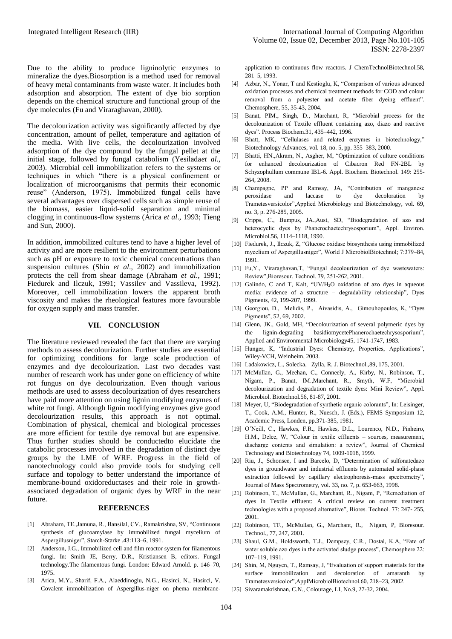Due to the ability to produce ligninolytic enzymes to mineralize the dyes.Biosorption is a method used for removal of heavy metal contaminants from waste water. It includes both adsorption and absorption. The extent of dye bio sorption depends on the chemical structure and functional group of the dye molecules (Fu and Viraraghavan, 2000).

The decolourization activity was significantly affected by dye concentration, amount of pellet, temperature and agitation of the media. With live cells, the decolourization involved adsorption of the dye compound by the fungal pellet at the initial stage, followed by fungal catabolism (Yesilada*et al*., 2003). Microbial cell immobilization refers to the systems or techniques in which "there is a physical confinement or localization of microorganisms that permits their economic reuse" (Anderson, 1975). Immobilized fungal cells have several advantages over dispersed cells such as simple reuse of the biomass, easier liquid-solid separation and minimal clogging in continuous-flow systems (Arica *et al*., 1993; Tieng and Sun, 2000).

In addition, immobilized cultures tend to have a higher level of activity and are more resilient to the environment perturbations such as pH or exposure to toxic chemical concentrations than suspension cultures (Shin *et al*., 2002) and immobilization protects the cell from shear damage (Abraham *et al*., 1991; Fiedurek and Ilczuk, 1991; Vassilev and Vassileva, 1992). Moreover, cell immobilization lowers the apparent broth viscosity and makes the rheological features more favourable for oxygen supply and mass transfer.

#### **VII. CONCLUSION**

The literature reviewed revealed the fact that there are varying methods to assess decolourization. Further studies are essential for optimizing conditions for large scale production of enzymes and dye decolourization. Last two decades vast number of research work has under gone on efficiency of white rot fungus on dye decolourization. Even though various methods are used to assess decolourization of dyes researchers have paid more attention on using lignin modifying enzymes of white rot fungi. Although lignin modifying enzymes give good decolourization results, this approach is not optimal. Combination of physical, chemical and biological processes are more efficient for textile dye removal but are expensive. Thus further studies should be conductedto elucidate the catabolic processes involved in the degradation of distinct dye groups by the LME of WRF. Progress in the field of nanotechnology could also provide tools for studying cell surface and topology to better understand the importance of membrane-bound oxidoreductases and their role in growthassociated degradation of organic dyes by WRF in the near future.

### **REFERENCES**

- [1] Abraham, TE.,Jamuna, R., Bansilal, CV., Ramakrishna, SV, "Continuous synthesis of glucoamylase by immobilized fungal mycelium of Aspergillusniger", Starch-Starke .43:113–6, 1991.
- [2] Anderson, J.G., Immobilized cell and film reactor system for filamentous fungi. In: Smith JE, Berry, D.R., Kristiansen B, editors. Fungal technology.The filamentous fungi. London: Edward Arnold. p. 146–70, 1975.
- [3] Arica, M.Y., Sharif, F.A., Alaeddinoglu, N.G., Hasirci, N., Hasirci, V. Covalent immobilization of Aspergillus-niger on phema membrane-

application to continuous flow reactors. J ChemTechnolBiotechnol.58, 281–5, 1993.

- [4] Azbar, N., Yonar, T and Kestioglu, K. "Comparison of various advanced oxidation processes and chemical treatment methods for COD and colour removal from a polyester and acetate fiber dyeing effluent". Chemosphere, 55, 35-43, 2004.
- [5] Banat, PIM., Singh, D., Marchant, R, "Microbial process for the decolourization of Textile effluent containing azo, diazo and reactive dyes". Process Biochem.31, 435–442, 1996.
- [6] Bhatt, MK, "Cellulases and related enzymes in biotechnology," Biotechnology Advances, vol. 18, no. 5, pp. 355–383, 2000.
- [7] Bhatti, HN.,Akram, N., Asgher, M, "Optimization of culture conditions for enhanced decolourization of Cibacron Red FN-2BL by Schyzophullum commune IBL-6. Appl. Biochem. Biotechnol. 149: 255- 264, 2008.
- [8] Champagne, PP and Ramsay, JA, "Contribution of manganese peroxidase and laccase to dye decoloration by Trametesversicolor",Applied Microbiology and Biotechnology, vol. 69, no. 3, p. 276-285, 2005.
- [9] Cripps, C., Bumpus, JA.,Aust, SD, "Biodegradation of azo and heterocyclic dyes by Phanerochaetechrysosporium", Appl. Environ. Microbiol.56, 1114–1118, 1990.
- [10] Fiedurek, J., Ilczuk, Z, "Glucose oxidase biosynthesis using immobilized mycelium of Aspergillusniger", World J MicrobiolBiotechnol; 7:379–84, 1991.
- [11] Fu, Y., Viraraghavan, T, "Fungal decolourization of dye wastewaters: Review",Bioresour. Technol. 79, 251-262, 2001.
- [12] Galindo, C and T, Kalt, "UV/H<sub>2</sub>O oxidation of azo dyes in aqueous media: evidence of a structure – degradability relationship", Dyes Pigments, 42, 199-207, 1999.
- [13] Georgiou, D., Melidis, P., Aivasidis, A., Gimouhopoulos, K, "Dyes Pigments", 52, 69, 2002.
- [14] Glenn, JK., Gold, MH, "Decolourization of several polymeric dyes by the lignin-degrading basidiomycetePhanerochaetechrysosporium", Applied and Environmental Microbiology45, 1741-1747, 1983.
- [15] Hunger, K, "Industrial Dyes: Chemistry, Properties, Applications", Wiley-VCH, Weinheim, 2003.
- [16] Ladakowicz, L., Solecka, Zylla, R, J. Biotechnol.,89, 175, 2001.
- [17] McMullan, G., Meehan, C., Conneely, A., Kirby, N., Robinson, T., Nigam, P., Banat, IM.,Marchant, R., Smyth, W.F, "Microbial decolourization and degradation of textile dyes: Mini Review", Appl. Microbiol. Biotechnol.56, 81-87, 2001.
- [18] Meyer, U, "Biodegradation of synthetic organic colorants", In: Leisinger, T., Cook, A.M., Hunter, R., Nuesch, J. (Eds.), FEMS Symposium 12, Academic Press, Londen, pp.371-385, 1981.
- [19] O'Neill, C., Hawkes, F.R., Hawkes, D.L., Lourenco, N.D., Pinheiro, H.M., Delee, W, "Colour in textile effluents – sources, measurement, discharge contents and simulation: a review", Journal of Chemical Technology and Biotechnology 74, 1009-1018, 1999.
- [20] Riu, J., Schonsee, I and Barcelo, D, "Determination of sulfonatedazo dyes in groundwater and industrial effluents by automated solid-phase extraction followed by capillary electrophoresis-mass spectrometry", Journal of Mass Spectrometry, vol. 33, no. 7, p. 653-663, 1998.
- [21] Robinson, T., McMullan, G., Marchant, R., Nigam, P, "Remediation of dyes in Textile effluent: A critical review on current treatment technologies with a proposed alternative", Biores. Technol. 77: 247- 255, 2001.
- [22] Robinson, TF., McMullan, G., Marchant, R., Nigam, P, Bioresour. Technol., 77, 247, 2001.
- [23] Shaul, G.M., Holdsworth, T.J., Dempsey, C.R., Dostal, K.A, "Fate of water soluble azo dyes in the activated sludge process", Chemosphere 22: 107–119, 1991.
- [24] Shin, M, Nguyen, T., Ramsay, J, "Evaluation of support materials for the surface immobilization and decoloration of amaranth by Trametesversicolor",ApplMicrobiolBiotechnol.60, 218–23, 2002.
- [25] Sivaramakrishnan, C.N., Colourage, LI, No.9, 27-32, 2004.